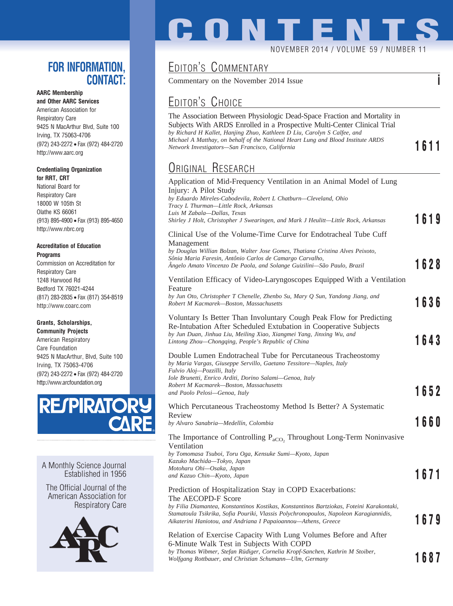### **FOR INFORMATION, CONTACT:**

#### **AARC Membership**

**and Other AARC Services** American Association for Respiratory Care 9425 N MacArthur Blvd, Suite 100 Irving, TX 75063-4706 (972) 243-2272 • Fax (972) 484-2720 http://www.aarc.org

#### **Credentialing Organization for RRT, CRT**

National Board for Respiratory Care 18000 W 105th St Olathe KS 66061 (913) 895-4900 • Fax (913) 895-4650 http://www.nbrc.org

#### **Accreditation of Education Programs**

Commission on Accreditation for Respiratory Care 1248 Harwood Rd Bedford TX 76021-4244 (817) 283-2835 • Fax (817) 354-8519 http://www.coarc.com

#### **Grants, Scholarships,**

**Community Projects** American Respiratory Care Foundation 9425 N MacArthur, Blvd, Suite 100 Irving, TX 75063-4706 (972) 243-2272 • Fax (972) 484-2720 http://www.arcfoundation.org



A Monthly Science Journal Established in 1956

The Official Journal of the American Association for Respiratory Care



# **CONTENTS** NOVEMBER 2014 / VOLUME 59 / NUMBER 11

## EDITOR'S COMMENTARY

Commentary on the November 2014 Issue **i**

## EDITOR'S CHOICE

The Association Between Physiologic Dead-Space Fraction and Mortality in Subjects With ARDS Enrolled in a Prospective Multi-Center Clinical Trial *by Richard H Kallet, Hanjing Zhuo, Kathleen D Liu, Carolyn S Calfee, and Michael A Matthay, on behalf of the National Heart Lung and Blood Institute ARDS Network Investigators—San Francisco, California* **1620 1631 <b>1620 1631 1620 1631 1620 1631 1632 1631 1631 1631 1631 1631 1631 1631 1631 1631 1631 1631 1631 1631 1631 1631 1631 1631** 

## ORIGINAL RESEARCH

| Application of Mid-Frequency Ventilation in an Animal Model of Lung<br>Injury: A Pilot Study<br>by Eduardo Mireles-Cabodevila, Robert L Chatburn-Cleveland, Ohio<br>Tracy L Thurman—Little Rock, Arkansas<br>Luis M Zabala-Dallas, Texas<br>Shirley J Holt, Christopher J Swearingen, and Mark J Heulitt—Little Rock, Arkansas         | 1619 |
|----------------------------------------------------------------------------------------------------------------------------------------------------------------------------------------------------------------------------------------------------------------------------------------------------------------------------------------|------|
| Clinical Use of the Volume-Time Curve for Endotracheal Tube Cuff<br>Management<br>by Douglas Willian Bolzan, Walter Jose Gomes, Thatiana Cristina Alves Peixoto,<br>Sônia Maria Faresin, Antônio Carlos de Camargo Carvalho,<br>Angelo Amato Vincenzo De Paola, and Solange Guizilini—São Paulo, Brazil                                | 1628 |
| Ventilation Efficacy of Video-Laryngoscopes Equipped With a Ventilation<br>Feature<br>by Jun Oto, Christopher T Chenelle, Zhenbo Su, Mary Q Sun, Yandong Jiang, and<br>Robert M Kacmarek-Boston, Massachusetts                                                                                                                         | 1636 |
| Voluntary Is Better Than Involuntary Cough Peak Flow for Predicting<br>Re-Intubation After Scheduled Extubation in Cooperative Subjects<br>by Jun Duan, Jinhua Liu, Meiling Xiao, Xiangmei Yang, Jinxing Wu, and<br>Lintong Zhou—Chongqing, People's Republic of China                                                                 | 1643 |
| Double Lumen Endotracheal Tube for Percutaneous Tracheostomy<br>by Maria Vargas, Giuseppe Servillo, Gaetano Tessitore—Naples, Italy<br>Fulvio Aloj—Pozzilli, Italy<br>Iole Brunetti, Enrico Arditi, Dorino Salami-Genoa, Italy<br>Robert M Kacmarek-Boston, Massachusetts<br>and Paolo Pelosi-Genoa, Italy                             | 1652 |
| Which Percutaneous Tracheostomy Method Is Better? A Systematic<br>Review<br>by Alvaro Sanabria-Medellín, Colombia                                                                                                                                                                                                                      | 1660 |
| The Importance of Controlling $P_{aCO}$ , Throughout Long-Term Noninvasive<br>Ventilation<br>by Tomomasa Tsuboi, Toru Oga, Kensuke Sumi-Kyoto, Japan<br>Kazuko Machida-Tokyo, Japan<br>Motoharu Ohi-Osaka, Japan<br>and Kazuo Chin-Kyoto, Japan                                                                                        | 1671 |
| Prediction of Hospitalization Stay in COPD Exacerbations:<br>The AECOPD-F Score<br>by Filia Diamantea, Konstantinos Kostikas, Konstantinos Bartziokas, Foteini Karakontaki,<br>Stamatoula Tsikrika, Sofia Pouriki, Vlassis Polychronopoulos, Napoleon Karagiannidis,<br>Aikaterini Haniotou, and Andriana I Papaioannou-Athens, Greece | 1679 |
| Relation of Exercise Capacity With Lung Volumes Before and After<br>$\epsilon$ Minute Well, Test in Subjects With CODD                                                                                                                                                                                                                 |      |

6-Minute Walk Test in Subjects With COPD by Thomas Wibmer, Stefan Rüdiger, Cornelia Kropf-Sanchen, Kathrin M Stoiber, *Wolfgang Rottbauer, and Christian Schumann—Ulm, Germany* **1687**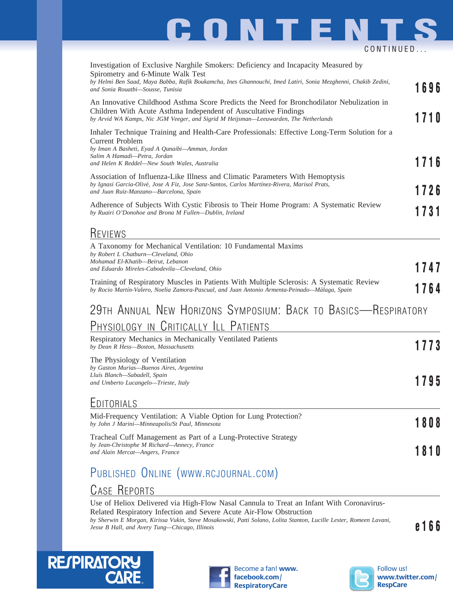# **CONTENTS** CONTINUED...

| Investigation of Exclusive Narghile Smokers: Deficiency and Incapacity Measured by<br>Spirometry and 6-Minute Walk Test<br>by Helmi Ben Saad, Maya Babba, Rafik Boukamcha, Ines Ghannouchi, Imed Latiri, Sonia Mezghenni, Chakib Zedini,<br>and Sonia Rouatbi-Sousse, Tunisia | 1696 |
|-------------------------------------------------------------------------------------------------------------------------------------------------------------------------------------------------------------------------------------------------------------------------------|------|
| An Innovative Childhood Asthma Score Predicts the Need for Bronchodilator Nebulization in<br>Children With Acute Asthma Independent of Auscultative Findings<br>by Arvid WA Kamps, Nic JGM Veeger, and Sigrid M Heijsman-Leeuwarden, The Netherlands                          | 1710 |
| Inhaler Technique Training and Health-Care Professionals: Effective Long-Term Solution for a<br>Current Problem<br>by Iman A Basheti, Eyad A Qunaibi-Amman, Jordan<br>Salim A Hamadi-Petra, Jordan                                                                            | 1716 |
| and Helen K Reddel—New South Wales, Australia<br>Association of Influenza-Like Illness and Climatic Parameters With Hemoptysis<br>by Ignasi Garcia-Olivé, Jose A Fiz, Jose Sanz-Santos, Carlos Martínez-Rivera, Marisol Prats,<br>and Juan Ruiz-Manzano-Barcelona, Spain      | 1726 |
| Adherence of Subjects With Cystic Fibrosis to Their Home Program: A Systematic Review<br>by Ruairi O'Donohoe and Brona M Fullen-Dublin, Ireland                                                                                                                               | 1731 |
| <b>REVIEWS</b><br>A Taxonomy for Mechanical Ventilation: 10 Fundamental Maxims<br>by Robert L Chatburn-Cleveland, Ohio<br>Mohamad El-Khatib-Beirut, Lebanon<br>and Eduardo Mireles-Cabodevila-Cleveland, Ohio                                                                 | 1747 |
| Training of Respiratory Muscles in Patients With Multiple Sclerosis: A Systematic Review<br>by Rocio Martín-Valero, Noelia Zamora-Pascual, and Juan Antonio Armenta-Peinado—Málaga, Spain                                                                                     | 1764 |
| 29TH ANNUAL NEW HORIZONS SYMPOSIUM: BACK TO BASICS-RESPIRATORY<br>PHYSIOLOGY IN CRITICALLY ILL PATIENTS                                                                                                                                                                       |      |
| Respiratory Mechanics in Mechanically Ventilated Patients<br>by Dean R Hess-Boston, Massachusetts                                                                                                                                                                             | 1773 |
| The Physiology of Ventilation<br>by Gaston Murias-Buenos Aires, Argentina<br>Lluís Blanch—Sabadell, Spain<br>and Umberto Lucangelo-Trieste, Italy                                                                                                                             | 1795 |
| EDITORIALS                                                                                                                                                                                                                                                                    |      |
| Mid-Frequency Ventilation: A Viable Option for Lung Protection?<br>by John J Marini—Minneapolis/St Paul, Minnesota                                                                                                                                                            | 1808 |
| Tracheal Cuff Management as Part of a Lung-Protective Strategy<br>by Jean-Christophe M Richard—Annecy, France<br>and Alain Mercat-Angers, France                                                                                                                              | 1810 |
| PUBLISHED ONLINE (WWW.RCJOURNAL.COM)                                                                                                                                                                                                                                          |      |

### CASE REPORTS

Use of Heliox Delivered via High-Flow Nasal Cannula to Treat an Infant With Coronavirus-Related Respiratory Infection and Severe Acute Air-Flow Obstruction *by Sherwin E Morgan, Kirissa Vukin, Steve Mosakowski, Patti Solano, Lolita Stanton, Lucille Lester, Romeen Lavani, Dy Sherwin E Morgan, Kirissa Vukin, Sieve Mosakowski, Patti Solano, Lolita Stanton, Luctue Lester, Komeen Lavani,*<br>Jesse B Hall, and Avery Tung—Chicago, Illinois